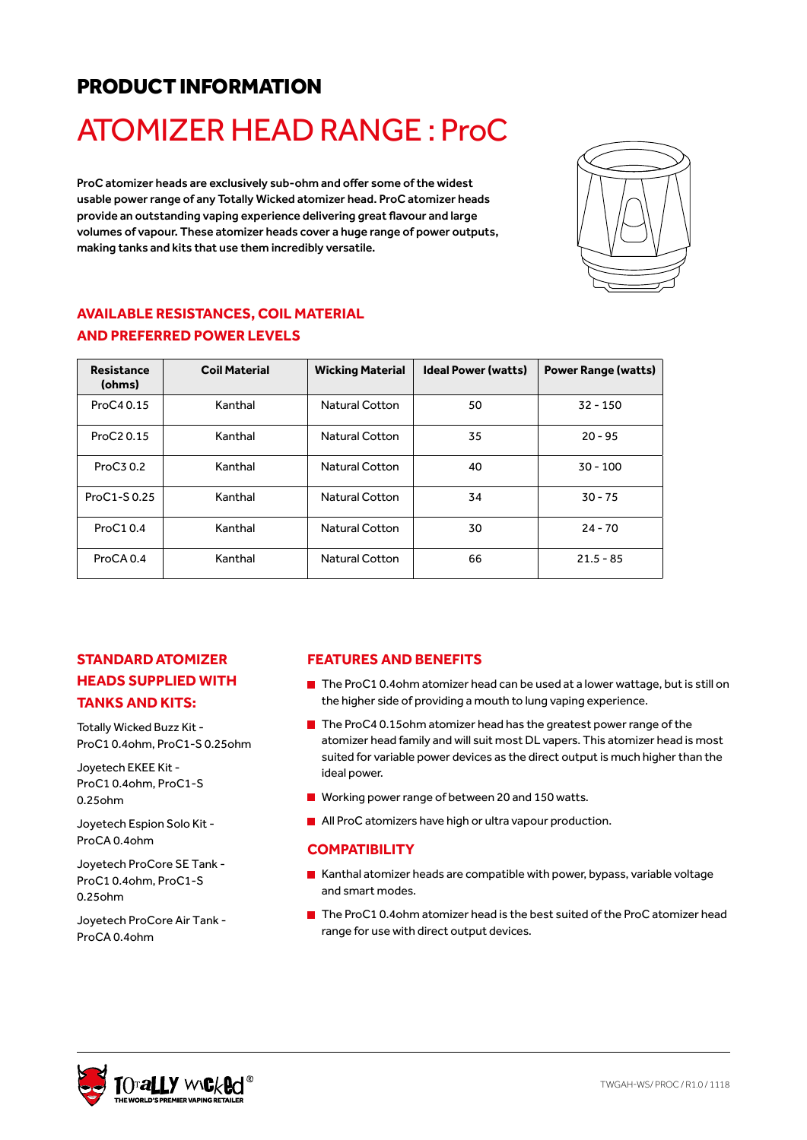## PRODUCT INFORMATION

# ATOMIZER HEAD RANGE : ProC

ProC atomizer heads are exclusively sub-ohm and offer some of the widest usable power range of any Totally Wicked atomizer head. ProC atomizer heads provide an outstanding vaping experience delivering great flavour and large volumes of vapour. These atomizer heads cover a huge range of power outputs, making tanks and kits that use them incredibly versatile.



#### **AVAILABLE RESISTANCES, COIL MATERIAL AND PREFERRED POWER LEVELS**

| <b>Resistance</b><br>(ohms) | <b>Coil Material</b> | <b>Wicking Material</b> | <b>Ideal Power (watts)</b> | <b>Power Range (watts)</b> |
|-----------------------------|----------------------|-------------------------|----------------------------|----------------------------|
| ProC4 0.15                  | Kanthal              | <b>Natural Cotton</b>   | 50                         | $32 - 150$                 |
| ProC <sub>2</sub> 0.15      | Kanthal              | <b>Natural Cotton</b>   | 35                         | $20 - 95$                  |
| ProC3 0.2                   | Kanthal              | <b>Natural Cotton</b>   | 40                         | $30 - 100$                 |
| ProC1-S0.25                 | Kanthal              | <b>Natural Cotton</b>   | 34                         | $30 - 75$                  |
| ProC10.4                    | Kanthal              | <b>Natural Cotton</b>   | 30                         | $24 - 70$                  |
| ProCA 0.4                   | Kanthal              | <b>Natural Cotton</b>   | 66                         | $21.5 - 85$                |

#### **STANDARD ATOMIZER HEADS SUPPLIED WITH TANKS AND KITS:**

Totally Wicked Buzz Kit - ProC1 0.4ohm, ProC1-S 0.25ohm

Joyetech EKEE Kit - ProC1 0.4ohm, ProC1-S 0.25ohm

Joyetech Espion Solo Kit - ProCA 0.4ohm

Joyetech ProCore SE Tank - ProC1 0.4ohm, ProC1-S 0.25ohm

Joyetech ProCore Air Tank - ProCA 0.4ohm

#### **FEATURES AND BENEFITS**

- $\blacksquare$  The ProC10.4ohm atomizer head can be used at a lower wattage, but is still on the higher side of providing a mouth to lung vaping experience.
- The ProC4 0.15ohm atomizer head has the greatest power range of the atomizer head family and will suit most DL vapers. This atomizer head is most suited for variable power devices as the direct output is much higher than the ideal power.
- **Norking power range of between 20 and 150 watts.**
- **All ProC atomizers have high or ultra vapour production.**

#### **COMPATIBILITY**

- Kanthal atomizer heads are compatible with power, bypass, variable voltage and smart modes.
- $\blacksquare$  The ProC1 0.4ohm atomizer head is the best suited of the ProC atomizer head range for use with direct output devices.